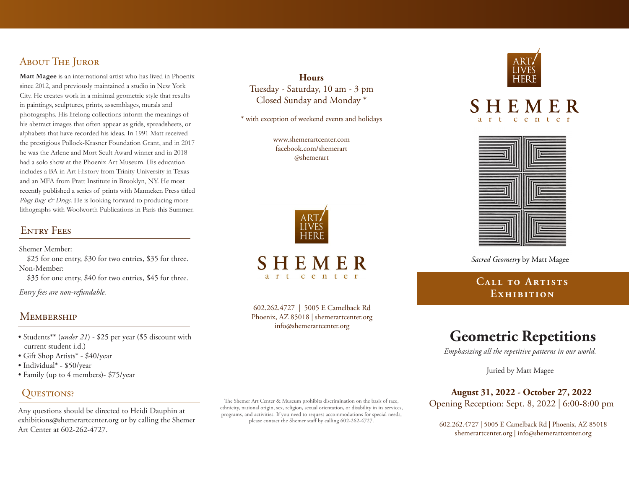# About The Juror

**Matt Magee** is an international artist who has lived in Phoenix since 2012, and previously maintained a studio in New York City. He creates work in a minimal geometric style that results in paintings, sculptures, prints, assemblages, murals and photographs. His lifelong collections inform the meanings of his abstract images that often appear as grids, spreadsheets, or alphabets that have recorded his ideas. In 1991 Matt received the prestigious Pollock-Krasner Foundation Grant, and in 2017 he was the Arlene and Mort Scult Award winner and in 2018 had a solo show at the Phoenix Art Museum. His education includes a BA in Art History from Trinity University in Texas and an MFA from Pratt Institute in Brooklyn, NY. He most recently published a series of prints with Manneken Press titled *Plugs Bugs & Drugs.* He is looking forward to producing more lithographs with Woolworth Publications in Paris this Summer.

# ENTRY FEES

Shemer Member:

 \$25 for one entry, \$30 for two entries, \$35 for three. Non-Member:

\$35 for one entry, \$40 for two entries, \$45 for three.

*Entry fees are non-refundable.*

## **MEMBERSHIP**

- Students\*\* (*under 21*) \$25 per year (\$5 discount with current student i.d.)
- Gift Shop Artists\* \$40/year
- Individual\* \$50/year
- Family (up to 4 members)- \$75/year

# QUESTIONS?

Any questions should be directed to Heidi Dauphin at exhibitions@shemerartcenter.org or by calling the Shemer Art Center at 602-262-4727.

The Shemer Art Center & Museum prohibits discrimination on the basis of race, ethnicity, national origin, sex, religion, sexual orientation, or disability in its services, programs, and activities. If you need to request accommodations for special needs, please contact the Shemer staff by calling 602-262-4727.







*Sacred Geometry* by Matt Magee

# **Call to Artists Exhibition**

# **Geometric Repetitions**

*Emphasizing all the repetitive patterns in our world.*

Juried by Matt Magee

### **August 31, 2022 - October 27, 2022**

Opening Reception: Sept. 8, 2022 | 6:00-8:00 pm

602.262.4727 | 5005 E Camelback Rd | Phoenix, AZ 85018 shemerartcenter.org | info@shemerartcenter.org



**Hours** Tuesday - Saturday, 10 am - 3 pm Closed Sunday and Monday \*

\* with exception of weekend events and holidays

www.shemerartcenter.com facebook.com/shemerart @shemerart

SHEMER  $c$  e n t

602.262.4727 | 5005 E Camelback Rd Phoenix, AZ 85018 | shemerartcenter.org info@shemerartcenter.org